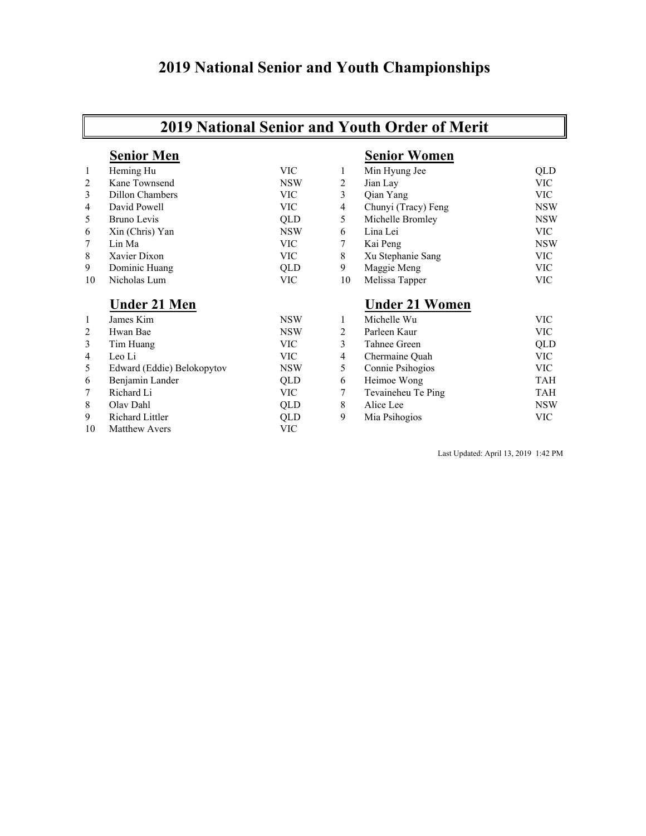## **2019 National Senior and Youth Championships**

## **2019 National Senior and Youth Order of Merit**

### **Senior Men Senior Women** 1 Heming Hu VIC 1 Min Hyung Jee QLD 2 Kane Townsend NSW 2 Jian Lay VIC 3 Dillon Chambers VIC 3 Qian Yang VIC 4 David Powell VIC 4 Chunyi (Tracy) Feng NSW 5 Bruno Levis QLD 5 Michelle Bromley NSW 6 Xin (Chris) Yan NSW 6 Lina Lei VIC<br>
7 Lin Ma VIC 7 Kai Peng NSW NSW 7 Lin Ma VIC 7 Kai Peng NSW 8 Xavier Dixon VIC 8 Xu Stephanie Sang VIC 9 Dominic Huang  $QLD$  9 Maggie Meng VIC<br>10 Nicholas Lum VIC 10 Melissa Tapper VIC 10 Nicholas Lum VIC 10 Melissa Tapper VIC VIC **Under 21 Men Under 21 Women** 1 James Kim NSW 1 Michelle Wu VIC 2 Hwan Bae 1988 – NSW 2 Parleen Kaur 1988 – NSW 2 Parleen Kaur 1988 – NGC 1988 – NGC 1988 – NGC 1988 – NGC 1988 – NGC 1988 – NGC 1988 – NGC 1988 – NGC 1988 – NGC 1988 – NGC 1988 – NGC 1988 – NGC 1988 – NGC 1988 – NGC 1988 3 Tim Huang VIC 3 Tahnee Green QLD

9 Richard Littler QLD 10 Matthew Avers VIC

|                | <b>Under 21 Men</b>        |            |               | <b>Under 21 Women</b> |            |
|----------------|----------------------------|------------|---------------|-----------------------|------------|
|                | James Kim                  | <b>NSW</b> |               | Michelle Wu           | VIC        |
| $\overline{2}$ | Hwan Bae                   | <b>NSW</b> |               | Parleen Kaur          | VIC-       |
| 3              | Tim Huang                  | VIC-       |               | Tahnee Green          | QLD        |
| 4              | Leo Li                     | VIC        | 4             | Chermaine Ouah        | VIC-       |
| 5.             | Edward (Eddie) Belokopytov | <b>NSW</b> |               | Connie Psihogios      | VIC-       |
| 6              | Benjamin Lander            | <b>OLD</b> | $\mathfrak b$ | Heimoe Wong           | TAH        |
| 7              | Richard Li                 | VIC        |               | Tevaineheu Te Ping    | TAH        |
| 8              | Olav Dahl                  | <b>OLD</b> | 8             | Alice Lee             | <b>NSW</b> |
| 9              | Richard Littler            | <b>OLD</b> | 9             | Mia Psihogios         | VIC        |

Last Updated: April 13, 2019 1:42 PM